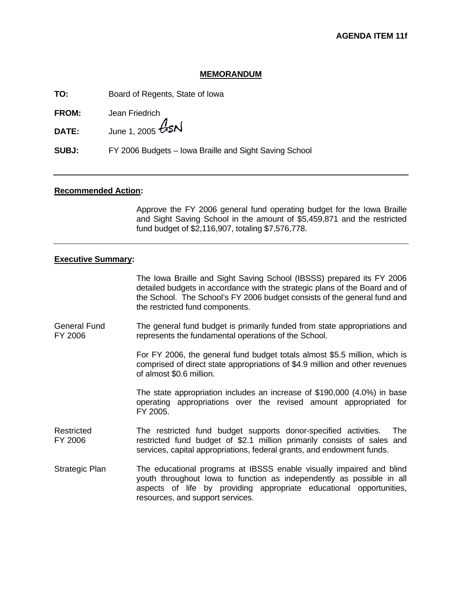## **MEMORANDUM**

**TO:** Board of Regents, State of Iowa

**FROM:** Jean Friedrich

**DATE:** June 1, 2005  $\cancel{GSM}$ 

**SUBJ:** FY 2006 Budgets – Iowa Braille and Sight Saving School

### **Recommended Action:**

Approve the FY 2006 general fund operating budget for the Iowa Braille and Sight Saving School in the amount of \$5,459,871 and the restricted fund budget of \$2,116,907, totaling \$7,576,778.

### **Executive Summary:**

The Iowa Braille and Sight Saving School (IBSSS) prepared its FY 2006 detailed budgets in accordance with the strategic plans of the Board and of the School. The School's FY 2006 budget consists of the general fund and the restricted fund components.

General Fund FY 2006 The general fund budget is primarily funded from state appropriations and represents the fundamental operations of the School.

> For FY 2006, the general fund budget totals almost \$5.5 million, which is comprised of direct state appropriations of \$4.9 million and other revenues of almost \$0.6 million.

> The state appropriation includes an increase of \$190,000 (4.0%) in base operating appropriations over the revised amount appropriated for FY 2005.

- **Restricted** FY 2006 The restricted fund budget supports donor-specified activities. The restricted fund budget of \$2.1 million primarily consists of sales and services, capital appropriations, federal grants, and endowment funds.
- Strategic Plan The educational programs at IBSSS enable visually impaired and blind youth throughout Iowa to function as independently as possible in all aspects of life by providing appropriate educational opportunities, resources, and support services.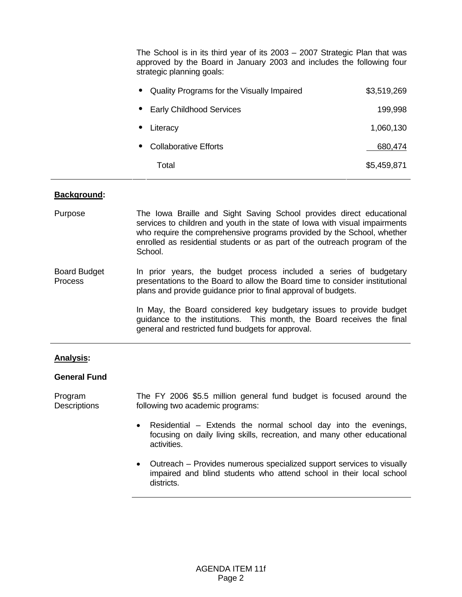The School is in its third year of its 2003 – 2007 Strategic Plan that was approved by the Board in January 2003 and includes the following four strategic planning goals:

| Quality Programs for the Visually Impaired<br>$\bullet$ | \$3,519,269 |
|---------------------------------------------------------|-------------|
| <b>Early Childhood Services</b>                         | 199,998     |
| • Literacy                                              | 1,060,130   |
| <b>Collaborative Efforts</b>                            | 680,474     |
| Total                                                   | \$5,459,871 |

### **Background:**

- Purpose The Iowa Braille and Sight Saving School provides direct educational services to children and youth in the state of Iowa with visual impairments who require the comprehensive programs provided by the School, whether enrolled as residential students or as part of the outreach program of the School.
- Board Budget Process In prior years, the budget process included a series of budgetary presentations to the Board to allow the Board time to consider institutional plans and provide guidance prior to final approval of budgets.

In May, the Board considered key budgetary issues to provide budget guidance to the institutions. This month, the Board receives the final general and restricted fund budgets for approval.

### **Analysis:**

### **General Fund**

Program **Descriptions** The FY 2006 \$5.5 million general fund budget is focused around the following two academic programs:

- Residential Extends the normal school day into the evenings, focusing on daily living skills, recreation, and many other educational activities.
- Outreach Provides numerous specialized support services to visually impaired and blind students who attend school in their local school districts.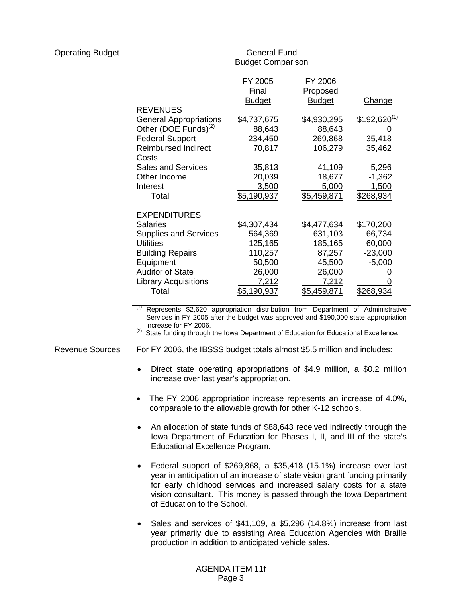# General Fund Budget Comparison

|                                  | FY 2005            | FY 2006            |                  |
|----------------------------------|--------------------|--------------------|------------------|
|                                  | Final              | Proposed           |                  |
|                                  | <b>Budget</b>      | <b>Budget</b>      | Change           |
| <b>REVENUES</b>                  |                    |                    |                  |
| <b>General Appropriations</b>    | \$4,737,675        | \$4,930,295        | $$192,620^{(1)}$ |
| Other (DOE Funds) <sup>(2)</sup> | 88,643             | 88,643             |                  |
| <b>Federal Support</b>           | 234,450            | 269,868            | 35,418           |
| <b>Reimbursed Indirect</b>       | 70,817             | 106,279            | 35,462           |
| Costs                            |                    |                    |                  |
| <b>Sales and Services</b>        | 35,813             | 41,109             | 5,296            |
| Other Income                     | 20,039             | 18,677             | $-1,362$         |
| Interest                         | 3,500              | 5,000              | 1,500            |
| Total                            | \$5,190,937        | \$5,459,871        | \$268,934        |
| <b>EXPENDITURES</b>              |                    |                    |                  |
| <b>Salaries</b>                  | \$4,307,434        | \$4,477,634        | \$170,200        |
|                                  |                    |                    |                  |
| <b>Supplies and Services</b>     | 564,369            | 631,103            | 66,734           |
| <b>Utilities</b>                 | 125,165            | 185,165            | 60,000           |
| <b>Building Repairs</b>          | 110,257            | 87,257             | $-23,000$        |
| Equipment                        | 50,500             | 45,500             | $-5,000$         |
| <b>Auditor of State</b>          | 26,000             | 26,000             |                  |
| <b>Library Acquisitions</b>      | 7,212              | 7,212              |                  |
| Total                            | <u>\$5,190,937</u> | <u>\$5,459,871</u> | <u>\$268.934</u> |

Represents \$2,620 appropriation distribution from Department of Administrative Services in FY 2005 after the budget was approved and \$190,000 state appropriation increase for FY 2006.

(2) State funding through the Iowa Department of Education for Educational Excellence.

Revenue Sources For FY 2006, the IBSSS budget totals almost \$5.5 million and includes:

- Direct state operating appropriations of \$4.9 million, a \$0.2 million increase over last year's appropriation.
- The FY 2006 appropriation increase represents an increase of 4.0%, comparable to the allowable growth for other K-12 schools.
- An allocation of state funds of \$88,643 received indirectly through the Iowa Department of Education for Phases I, II, and III of the state's Educational Excellence Program.
- Federal support of \$269,868, a \$35,418 (15.1%) increase over last year in anticipation of an increase of state vision grant funding primarily for early childhood services and increased salary costs for a state vision consultant. This money is passed through the Iowa Department of Education to the School.
- Sales and services of \$41,109, a \$5,296 (14.8%) increase from last year primarily due to assisting Area Education Agencies with Braille production in addition to anticipated vehicle sales.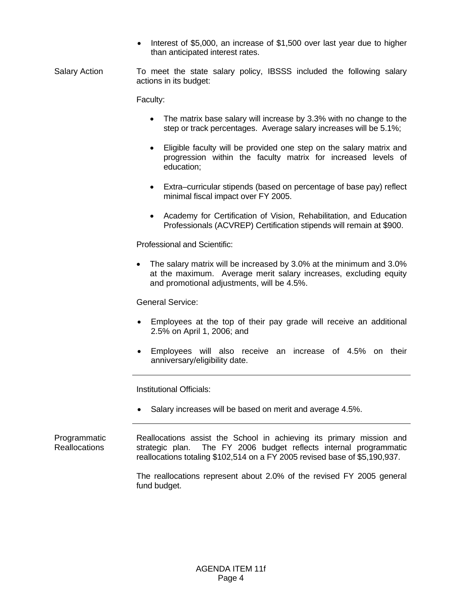• Interest of \$5,000, an increase of \$1,500 over last year due to higher than anticipated interest rates.

Salary Action To meet the state salary policy, IBSSS included the following salary actions in its budget:

Faculty:

- The matrix base salary will increase by 3.3% with no change to the step or track percentages. Average salary increases will be 5.1%;
- Eligible faculty will be provided one step on the salary matrix and progression within the faculty matrix for increased levels of education;
- Extra–curricular stipends (based on percentage of base pay) reflect minimal fiscal impact over FY 2005.
- Academy for Certification of Vision, Rehabilitation, and Education Professionals (ACVREP) Certification stipends will remain at \$900.

Professional and Scientific:

• The salary matrix will be increased by 3.0% at the minimum and 3.0% at the maximum. Average merit salary increases, excluding equity and promotional adjustments, will be 4.5%.

General Service:

- Employees at the top of their pay grade will receive an additional 2.5% on April 1, 2006; and
- Employees will also receive an increase of 4.5% on their anniversary/eligibility date.

Institutional Officials:

• Salary increases will be based on merit and average 4.5%.

Programmatic Reallocations Reallocations assist the School in achieving its primary mission and strategic plan. The FY 2006 budget reflects internal programmatic reallocations totaling \$102,514 on a FY 2005 revised base of \$5,190,937.

> The reallocations represent about 2.0% of the revised FY 2005 general fund budget.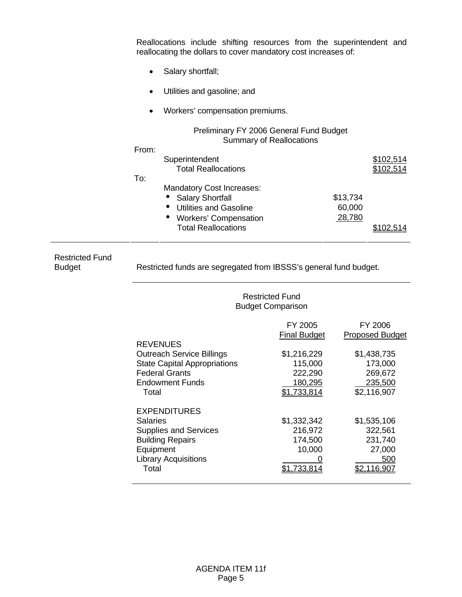| Reallocations include shifting resources from the superintendent and<br>reallocating the dollars to cover mandatory cost increases of: |          |                                      |
|----------------------------------------------------------------------------------------------------------------------------------------|----------|--------------------------------------|
| Salary shortfall;<br>$\bullet$                                                                                                         |          |                                      |
| Utilities and gasoline; and                                                                                                            |          |                                      |
| Workers' compensation premiums.                                                                                                        |          |                                      |
| Preliminary FY 2006 General Fund Budget<br><b>Summary of Reallocations</b>                                                             |          |                                      |
| From:                                                                                                                                  |          |                                      |
| Superintendent<br><b>Total Reallocations</b>                                                                                           |          | <u>\$102,514</u><br><u>\$102,514</u> |
| To:                                                                                                                                    |          |                                      |
| <b>Mandatory Cost Increases:</b>                                                                                                       |          |                                      |
| <b>Salary Shortfall</b>                                                                                                                | \$13,734 |                                      |
| <b>Utilities and Gasoline</b>                                                                                                          | 60,000   |                                      |
| <b>Workers' Compensation</b>                                                                                                           | 28,780   |                                      |
| <b>Total Reallocations</b>                                                                                                             |          |                                      |

Restricted Fund<br>Budget

Restricted funds are segregated from IBSSS's general fund budget.

|                                                                                                                                                        | <b>Restricted Fund</b><br><b>Budget Comparison</b>          |                                                                           |  |
|--------------------------------------------------------------------------------------------------------------------------------------------------------|-------------------------------------------------------------|---------------------------------------------------------------------------|--|
| <b>REVENUES</b>                                                                                                                                        | FY 2005<br><b>Final Budget</b>                              | FY 2006<br><b>Proposed Budget</b>                                         |  |
| <b>Outreach Service Billings</b><br><b>State Capital Appropriations</b><br><b>Federal Grants</b><br>Endowment Funds<br>Total                           | \$1,216,229<br>115,000<br>222,290<br>180,295<br>\$1,733,814 | \$1,438,735<br>173,000<br>269,672<br>235,500<br>\$2,116,907               |  |
| <b>EXPENDITURES</b><br><b>Salaries</b><br><b>Supplies and Services</b><br><b>Building Repairs</b><br>Equipment<br><b>Library Acquisitions</b><br>Total | \$1,332,342<br>216,972<br>174,500<br>10,000<br>.733.814     | \$1,535,106<br>322,561<br>231,740<br>27,000<br>500<br>\$2 <u>.116,907</u> |  |